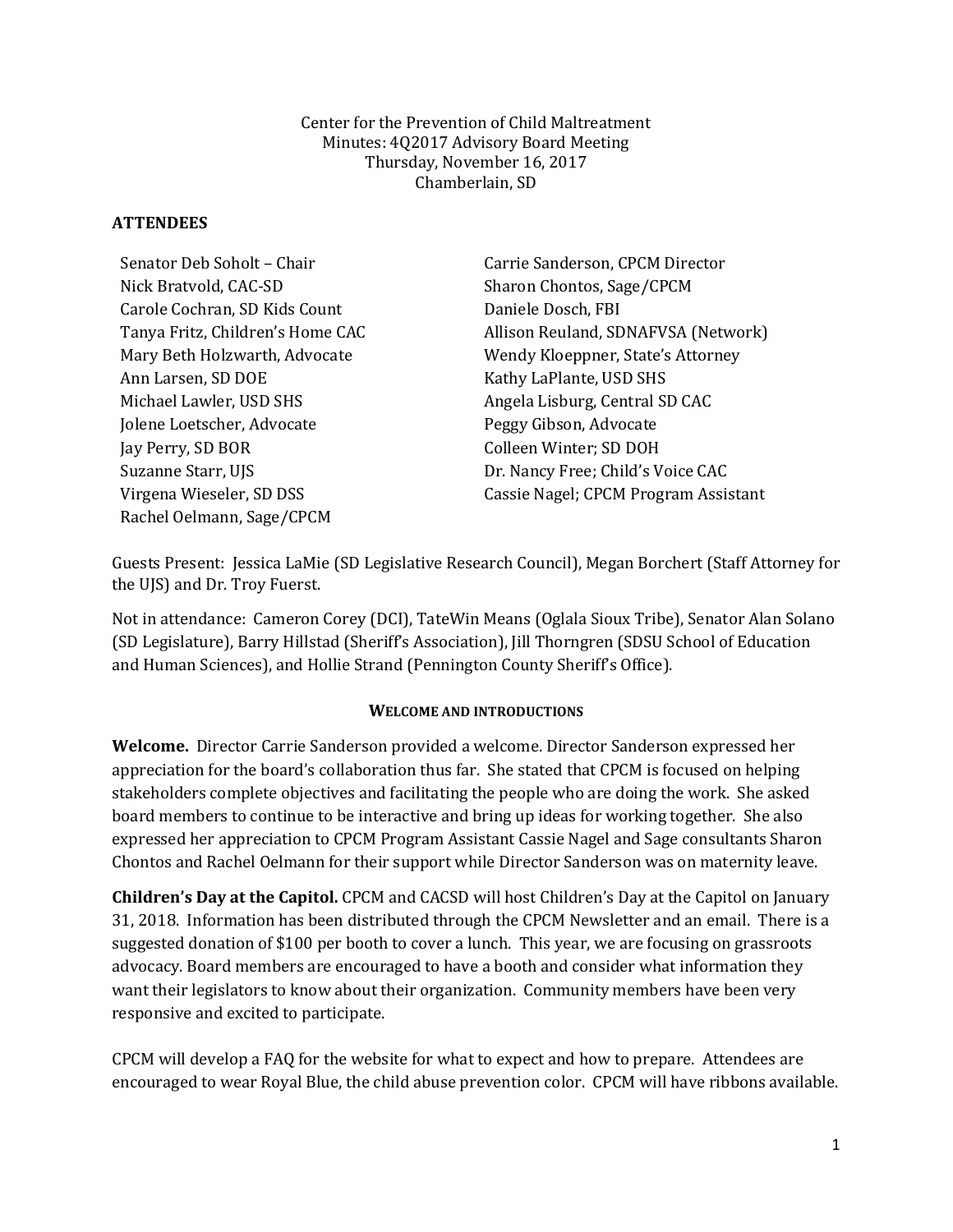Center for the Prevention of Child Maltreatment Minutes: 4Q2017 Advisory Board Meeting Thursday, November 16, 2017 Chamberlain, SD

## **ATTENDEES**

| Senator Deb Soholt - Chair       | Carrie Sanderson, CPCM Director      |
|----------------------------------|--------------------------------------|
| Nick Bratvold, CAC-SD            | Sharon Chontos, Sage/CPCM            |
| Carole Cochran, SD Kids Count    | Daniele Dosch, FBI                   |
| Tanya Fritz, Children's Home CAC | Allison Reuland, SDNAFVSA (Network)  |
| Mary Beth Holzwarth, Advocate    | Wendy Kloeppner, State's Attorney    |
| Ann Larsen, SD DOE               | Kathy LaPlante, USD SHS              |
| Michael Lawler, USD SHS          | Angela Lisburg, Central SD CAC       |
| Jolene Loetscher, Advocate       | Peggy Gibson, Advocate               |
| Jay Perry, SD BOR                | Colleen Winter; SD DOH               |
| Suzanne Starr, UJS               | Dr. Nancy Free; Child's Voice CAC    |
| Virgena Wieseler, SD DSS         | Cassie Nagel; CPCM Program Assistant |
| Rachel Oelmann, Sage/CPCM        |                                      |

Guests Present: Jessica LaMie (SD Legislative Research Council), Megan Borchert (Staff Attorney for the UJS) and Dr. Troy Fuerst.

Not in attendance: Cameron Corey (DCI), TateWin Means (Oglala Sioux Tribe), Senator Alan Solano (SD Legislature), Barry Hillstad (Sheriff's Association), Jill Thorngren (SDSU School of Education and Human Sciences), and Hollie Strand (Pennington County Sheriff's Office).

### **WELCOME AND INTRODUCTIONS**

**Welcome.** Director Carrie Sanderson provided a welcome. Director Sanderson expressed her appreciation for the board's collaboration thus far. She stated that CPCM is focused on helping stakeholders complete objectives and facilitating the people who are doing the work. She asked board members to continue to be interactive and bring up ideas for working together. She also expressed her appreciation to CPCM Program Assistant Cassie Nagel and Sage consultants Sharon Chontos and Rachel Oelmann for their support while Director Sanderson was on maternity leave.

**Children's Day at the Capitol.** CPCM and CACSD will host Children's Day at the Capitol on January 31, 2018. Information has been distributed through the CPCM Newsletter and an email. There is a suggested donation of \$100 per booth to cover a lunch. This year, we are focusing on grassroots advocacy. Board members are encouraged to have a booth and consider what information they want their legislators to know about their organization. Community members have been very responsive and excited to participate.

CPCM will develop a FAQ for the website for what to expect and how to prepare. Attendees are encouraged to wear Royal Blue, the child abuse prevention color. CPCM will have ribbons available.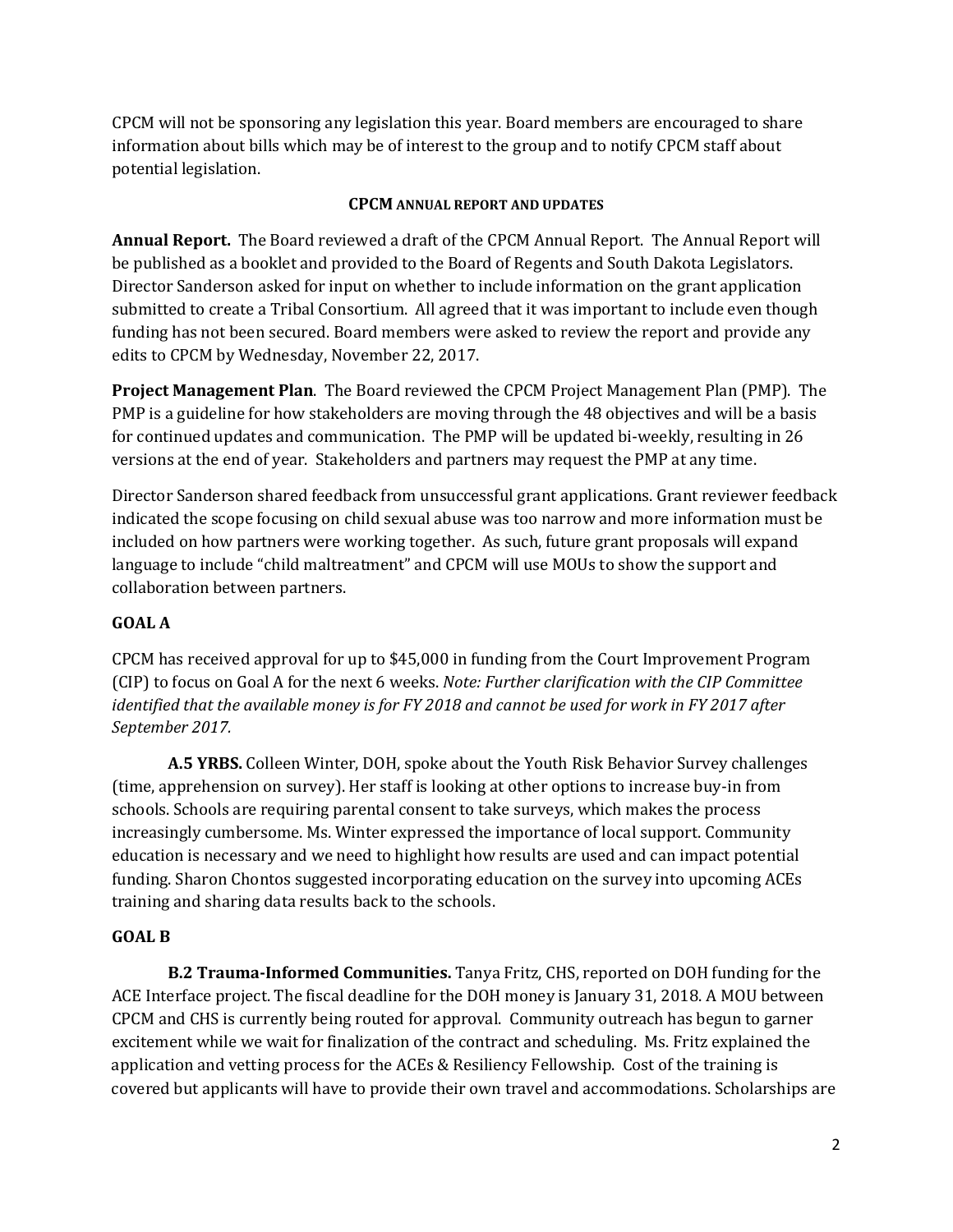CPCM will not be sponsoring any legislation this year. Board members are encouraged to share information about bills which may be of interest to the group and to notify CPCM staff about potential legislation.

### **CPCM ANNUAL REPORT AND UPDATES**

**Annual Report.**The Board reviewed a draft of the CPCM Annual Report. The Annual Report will be published as a booklet and provided to the Board of Regents and South Dakota Legislators. Director Sanderson asked for input on whether to include information on the grant application submitted to create a Tribal Consortium. All agreed that it was important to include even though funding has not been secured. Board members were asked to review the report and provide any edits to CPCM by Wednesday, November 22, 2017.

**Project Management Plan**. The Board reviewed the CPCM Project Management Plan (PMP). The PMP is a guideline for how stakeholders are moving through the 48 objectives and will be a basis for continued updates and communication. The PMP will be updated bi-weekly, resulting in 26 versions at the end of year. Stakeholders and partners may request the PMP at any time.

Director Sanderson shared feedback from unsuccessful grant applications. Grant reviewer feedback indicated the scope focusing on child sexual abuse was too narrow and more information must be included on how partners were working together. As such, future grant proposals will expand language to include "child maltreatment" and CPCM will use MOUs to show the support and collaboration between partners.

### **GOAL A**

CPCM has received approval for up to \$45,000 in funding from the Court Improvement Program (CIP) to focus on Goal A for the next 6 weeks. *Note: Further clarification with the CIP Committee identified that the available money is for FY 2018 and cannot be used for work in FY 2017 after September 2017.* 

**A.5 YRBS.** Colleen Winter, DOH, spoke about the Youth Risk Behavior Survey challenges (time, apprehension on survey). Her staff is looking at other options to increase buy-in from schools. Schools are requiring parental consent to take surveys, which makes the process increasingly cumbersome. Ms. Winter expressed the importance of local support. Community education is necessary and we need to highlight how results are used and can impact potential funding. Sharon Chontos suggested incorporating education on the survey into upcoming ACEs training and sharing data results back to the schools.

### **GOAL B**

**B.2 Trauma-Informed Communities.** Tanya Fritz, CHS, reported on DOH funding for the ACE Interface project. The fiscal deadline for the DOH money is January 31, 2018. A MOU between CPCM and CHS is currently being routed for approval. Community outreach has begun to garner excitement while we wait for finalization of the contract and scheduling. Ms. Fritz explained the application and vetting process for the ACEs & Resiliency Fellowship. Cost of the training is covered but applicants will have to provide their own travel and accommodations. Scholarships are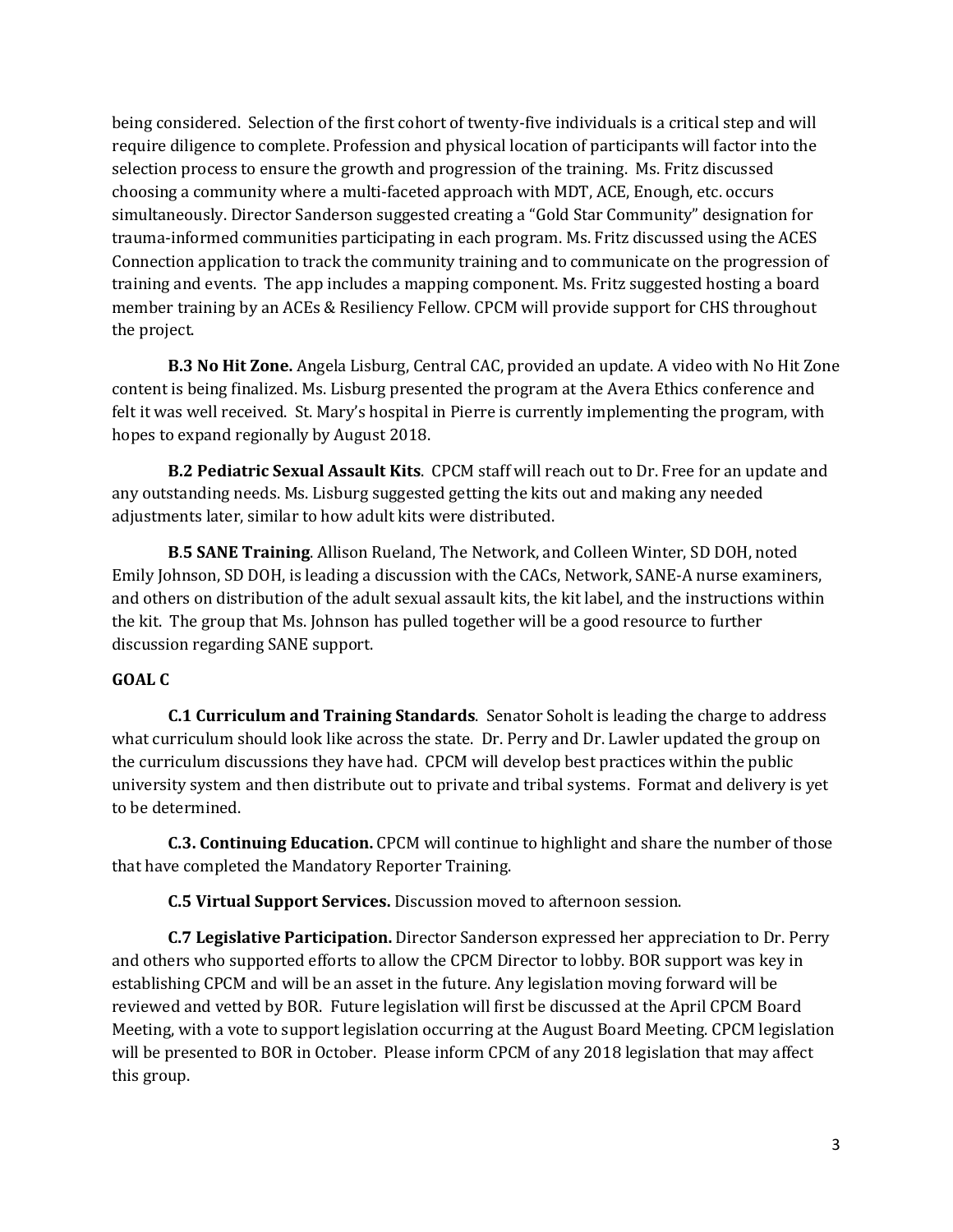being considered. Selection of the first cohort of twenty-five individuals is a critical step and will require diligence to complete. Profession and physical location of participants will factor into the selection process to ensure the growth and progression of the training. Ms. Fritz discussed choosing a community where a multi-faceted approach with MDT, ACE, Enough, etc. occurs simultaneously. Director Sanderson suggested creating a "Gold Star Community" designation for trauma-informed communities participating in each program. Ms. Fritz discussed using the ACES Connection application to track the community training and to communicate on the progression of training and events. The app includes a mapping component. Ms. Fritz suggested hosting a board member training by an ACEs & Resiliency Fellow. CPCM will provide support for CHS throughout the project.

**B.3 No Hit Zone.** Angela Lisburg, Central CAC, provided an update. A video with No Hit Zone content is being finalized. Ms. Lisburg presented the program at the Avera Ethics conference and felt it was well received. St. Mary's hospital in Pierre is currently implementing the program, with hopes to expand regionally by August 2018.

**B.2 Pediatric Sexual Assault Kits**. CPCM staff will reach out to Dr. Free for an update and any outstanding needs. Ms. Lisburg suggested getting the kits out and making any needed adjustments later, similar to how adult kits were distributed.

**B**.**5 SANE Training**. Allison Rueland, The Network, and Colleen Winter, SD DOH, noted Emily Johnson, SD DOH, is leading a discussion with the CACs, Network, SANE-A nurse examiners, and others on distribution of the adult sexual assault kits, the kit label, and the instructions within the kit. The group that Ms. Johnson has pulled together will be a good resource to further discussion regarding SANE support.

### **GOAL C**

**C.1 Curriculum and Training Standards**. Senator Soholt is leading the charge to address what curriculum should look like across the state. Dr. Perry and Dr. Lawler updated the group on the curriculum discussions they have had. CPCM will develop best practices within the public university system and then distribute out to private and tribal systems. Format and delivery is yet to be determined.

**C.3. Continuing Education.** CPCM will continue to highlight and share the number of those that have completed the Mandatory Reporter Training.

**C.5 Virtual Support Services.** Discussion moved to afternoon session.

**C.7 Legislative Participation.** Director Sanderson expressed her appreciation to Dr. Perry and others who supported efforts to allow the CPCM Director to lobby. BOR support was key in establishing CPCM and will be an asset in the future. Any legislation moving forward will be reviewed and vetted by BOR. Future legislation will first be discussed at the April CPCM Board Meeting, with a vote to support legislation occurring at the August Board Meeting. CPCM legislation will be presented to BOR in October. Please inform CPCM of any 2018 legislation that may affect this group.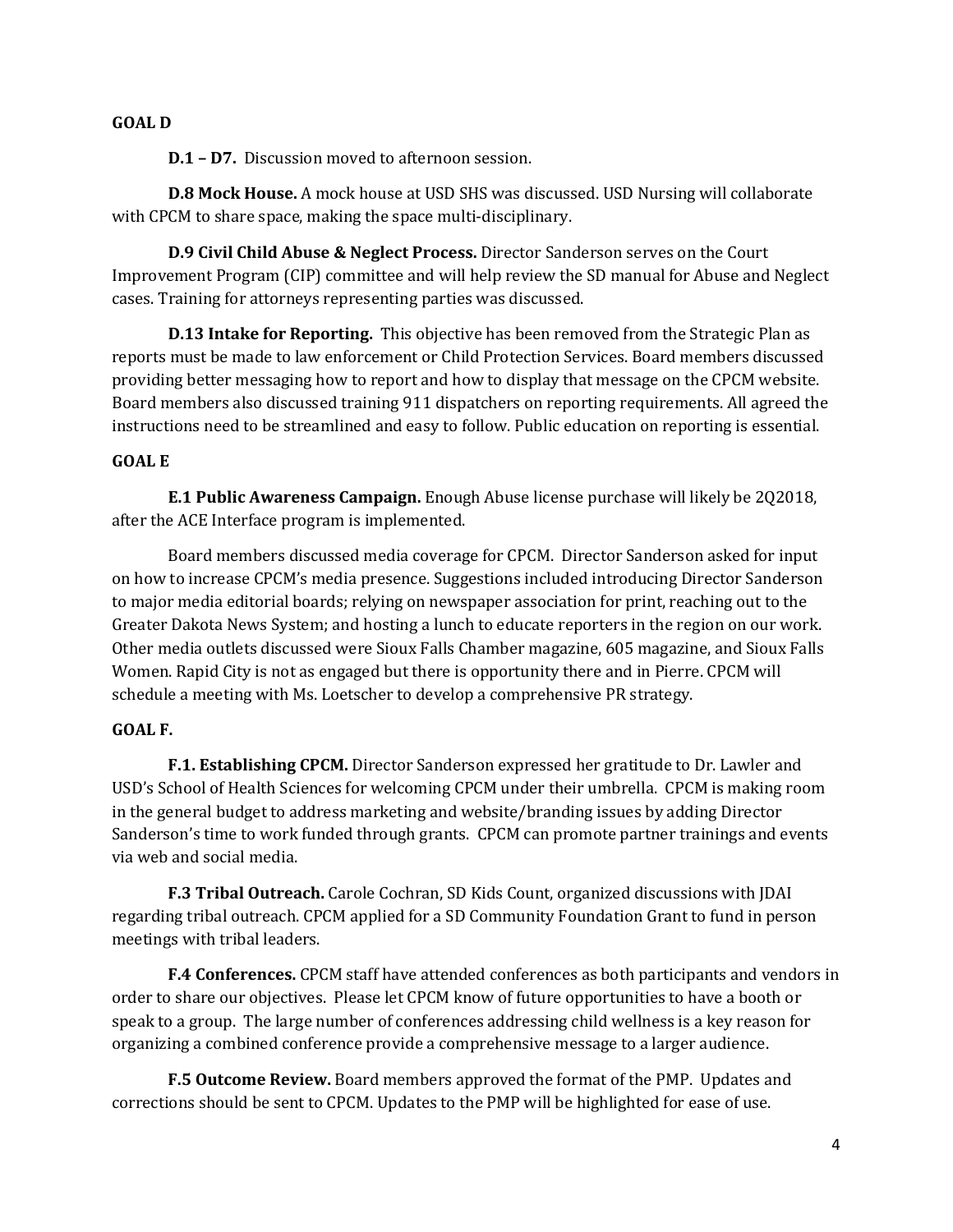#### **GOAL D**

**D.1 – D7.** Discussion moved to afternoon session.

**D.8 Mock House.** A mock house at USD SHS was discussed. USD Nursing will collaborate with CPCM to share space, making the space multi-disciplinary.

**D.9 Civil Child Abuse & Neglect Process.** Director Sanderson serves on the Court Improvement Program (CIP) committee and will help review the SD manual for Abuse and Neglect cases. Training for attorneys representing parties was discussed.

**D.13 Intake for Reporting.** This objective has been removed from the Strategic Plan as reports must be made to law enforcement or Child Protection Services. Board members discussed providing better messaging how to report and how to display that message on the CPCM website. Board members also discussed training 911 dispatchers on reporting requirements. All agreed the instructions need to be streamlined and easy to follow. Public education on reporting is essential.

#### **GOAL E**

**E.1 Public Awareness Campaign.** Enough Abuse license purchase will likely be 2Q2018, after the ACE Interface program is implemented.

Board members discussed media coverage for CPCM. Director Sanderson asked for input on how to increase CPCM's media presence. Suggestions included introducing Director Sanderson to major media editorial boards; relying on newspaper association for print, reaching out to the Greater Dakota News System; and hosting a lunch to educate reporters in the region on our work. Other media outlets discussed were Sioux Falls Chamber magazine, 605 magazine, and Sioux Falls Women. Rapid City is not as engaged but there is opportunity there and in Pierre. CPCM will schedule a meeting with Ms. Loetscher to develop a comprehensive PR strategy.

### **GOAL F.**

**F.1. Establishing CPCM.** Director Sanderson expressed her gratitude to Dr. Lawler and USD's School of Health Sciences for welcoming CPCM under their umbrella. CPCM is making room in the general budget to address marketing and website/branding issues by adding Director Sanderson's time to work funded through grants. CPCM can promote partner trainings and events via web and social media.

**F.3 Tribal Outreach.** Carole Cochran, SD Kids Count, organized discussions with JDAI regarding tribal outreach. CPCM applied for a SD Community Foundation Grant to fund in person meetings with tribal leaders.

**F.4 Conferences.** CPCM staff have attended conferences as both participants and vendors in order to share our objectives. Please let CPCM know of future opportunities to have a booth or speak to a group. The large number of conferences addressing child wellness is a key reason for organizing a combined conference provide a comprehensive message to a larger audience.

**F.5 Outcome Review.** Board members approved the format of the PMP. Updates and corrections should be sent to CPCM. Updates to the PMP will be highlighted for ease of use.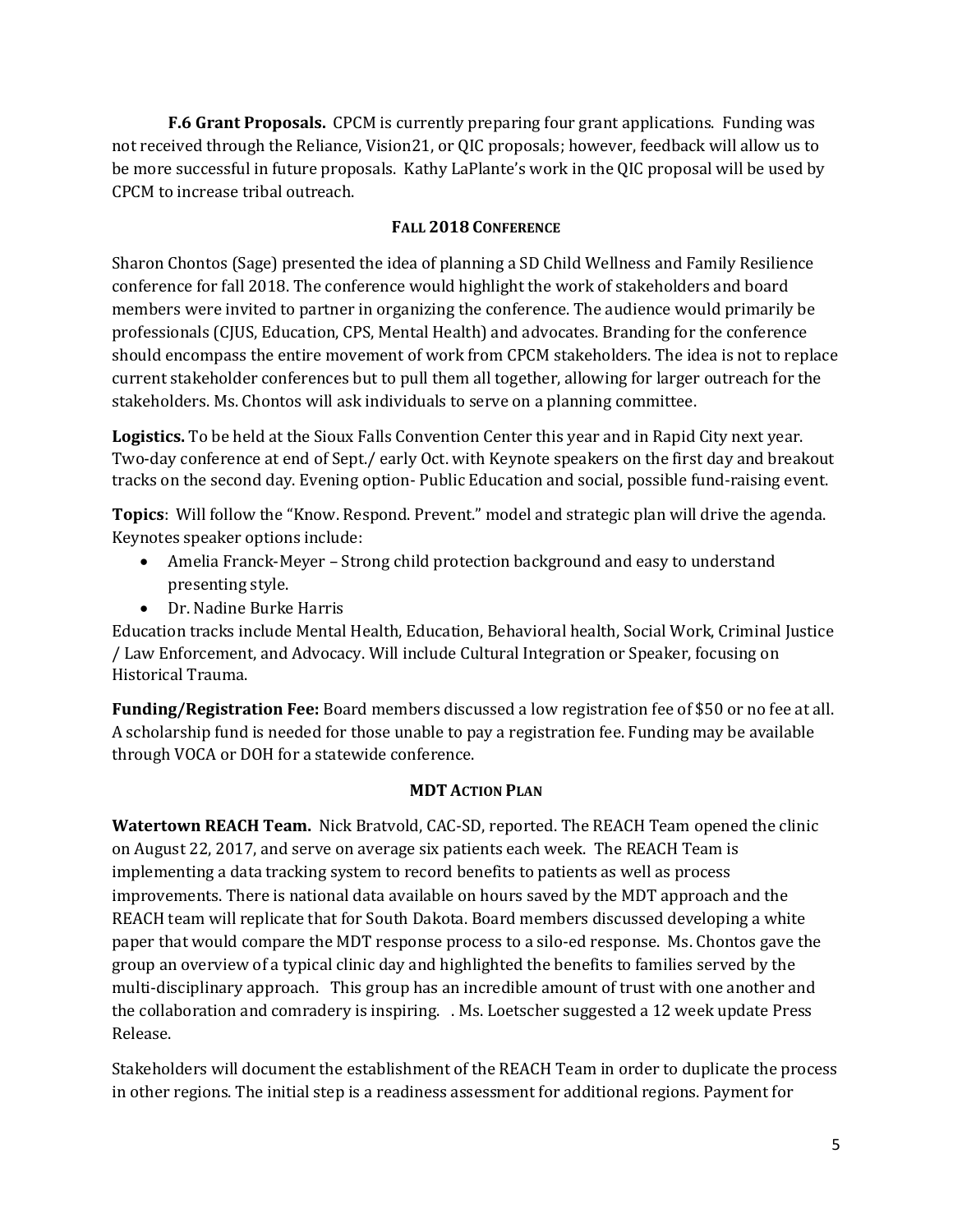**F.6 Grant Proposals.** CPCM is currently preparing four grant applications. Funding was not received through the Reliance, Vision21, or QIC proposals; however, feedback will allow us to be more successful in future proposals. Kathy LaPlante's work in the QIC proposal will be used by CPCM to increase tribal outreach.

## **FALL 2018 CONFERENCE**

Sharon Chontos (Sage) presented the idea of planning a SD Child Wellness and Family Resilience conference for fall 2018. The conference would highlight the work of stakeholders and board members were invited to partner in organizing the conference. The audience would primarily be professionals (CJUS, Education, CPS, Mental Health) and advocates. Branding for the conference should encompass the entire movement of work from CPCM stakeholders. The idea is not to replace current stakeholder conferences but to pull them all together, allowing for larger outreach for the stakeholders. Ms. Chontos will ask individuals to serve on a planning committee.

**Logistics.** To be held at the Sioux Falls Convention Center this year and in Rapid City next year. Two-day conference at end of Sept./ early Oct. with Keynote speakers on the first day and breakout tracks on the second day. Evening option- Public Education and social, possible fund-raising event.

**Topics**: Will follow the "Know. Respond. Prevent." model and strategic plan will drive the agenda. Keynotes speaker options include:

- Amelia Franck-Meyer Strong child protection background and easy to understand presenting style.
- Dr. Nadine Burke Harris

Education tracks include Mental Health, Education, Behavioral health, Social Work, Criminal Justice / Law Enforcement, and Advocacy. Will include Cultural Integration or Speaker, focusing on Historical Trauma.

**Funding/Registration Fee:** Board members discussed a low registration fee of \$50 or no fee at all. A scholarship fund is needed for those unable to pay a registration fee. Funding may be available through VOCA or DOH for a statewide conference.

### **MDT ACTION PLAN**

**Watertown REACH Team.** Nick Bratvold, CAC-SD, reported. The REACH Team opened the clinic on August 22, 2017, and serve on average six patients each week. The REACH Team is implementing a data tracking system to record benefits to patients as well as process improvements. There is national data available on hours saved by the MDT approach and the REACH team will replicate that for South Dakota. Board members discussed developing a white paper that would compare the MDT response process to a silo-ed response. Ms. Chontos gave the group an overview of a typical clinic day and highlighted the benefits to families served by the multi-disciplinary approach. This group has an incredible amount of trust with one another and the collaboration and comradery is inspiring. . Ms. Loetscher suggested a 12 week update Press Release.

Stakeholders will document the establishment of the REACH Team in order to duplicate the process in other regions. The initial step is a readiness assessment for additional regions. Payment for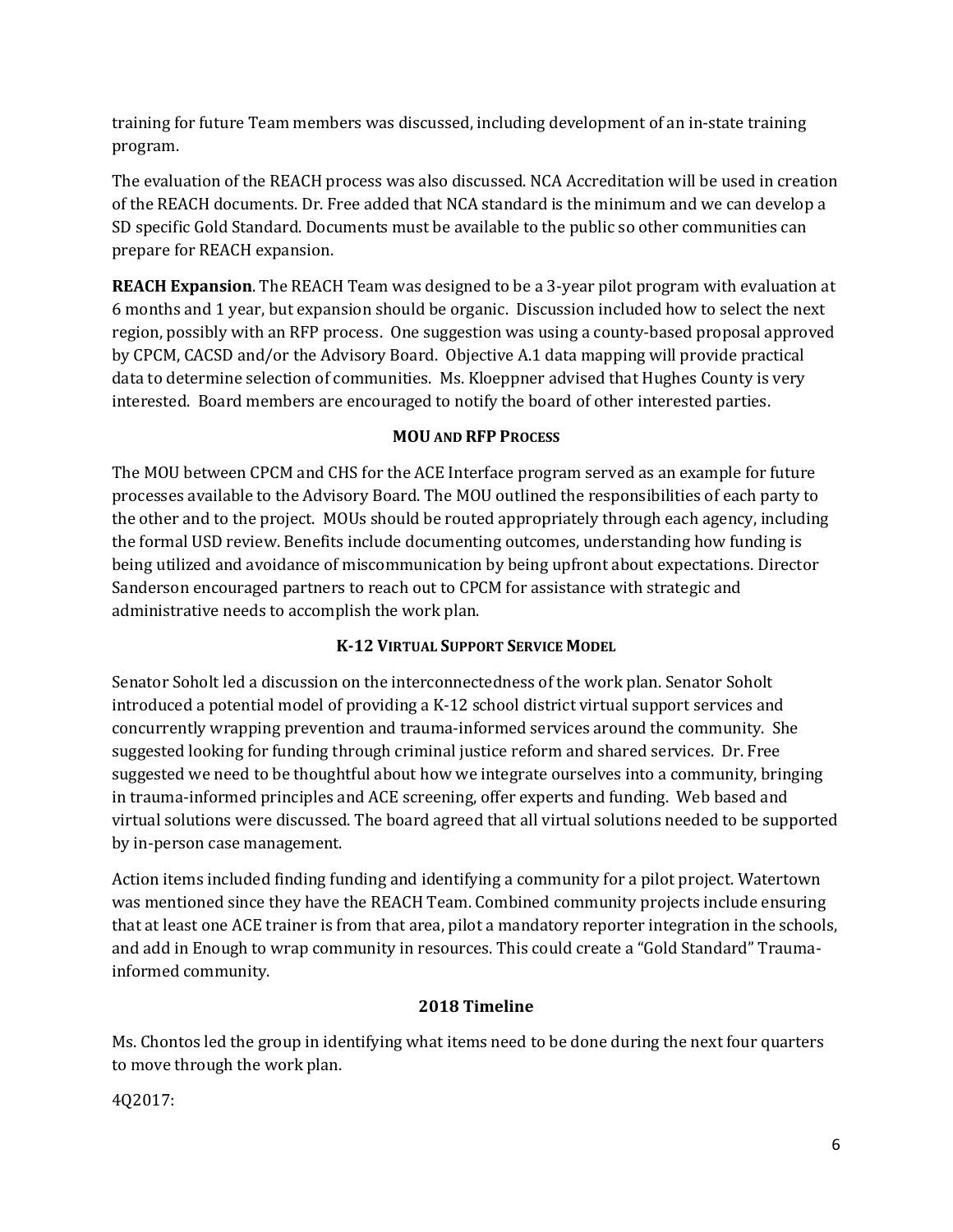training for future Team members was discussed, including development of an in-state training program.

The evaluation of the REACH process was also discussed. NCA Accreditation will be used in creation of the REACH documents. Dr. Free added that NCA standard is the minimum and we can develop a SD specific Gold Standard. Documents must be available to the public so other communities can prepare for REACH expansion.

**REACH Expansion**. The REACH Team was designed to be a 3-year pilot program with evaluation at 6 months and 1 year, but expansion should be organic. Discussion included how to select the next region, possibly with an RFP process. One suggestion was using a county-based proposal approved by CPCM, CACSD and/or the Advisory Board. Objective A.1 data mapping will provide practical data to determine selection of communities. Ms. Kloeppner advised that Hughes County is very interested. Board members are encouraged to notify the board of other interested parties.

# **MOU AND RFP PROCESS**

The MOU between CPCM and CHS for the ACE Interface program served as an example for future processes available to the Advisory Board. The MOU outlined the responsibilities of each party to the other and to the project. MOUs should be routed appropriately through each agency, including the formal USD review. Benefits include documenting outcomes, understanding how funding is being utilized and avoidance of miscommunication by being upfront about expectations. Director Sanderson encouraged partners to reach out to CPCM for assistance with strategic and administrative needs to accomplish the work plan.

# **K-12 VIRTUAL SUPPORT SERVICE MODEL**

Senator Soholt led a discussion on the interconnectedness of the work plan. Senator Soholt introduced a potential model of providing a K-12 school district virtual support services and concurrently wrapping prevention and trauma-informed services around the community. She suggested looking for funding through criminal justice reform and shared services. Dr. Free suggested we need to be thoughtful about how we integrate ourselves into a community, bringing in trauma-informed principles and ACE screening, offer experts and funding. Web based and virtual solutions were discussed. The board agreed that all virtual solutions needed to be supported by in-person case management.

Action items included finding funding and identifying a community for a pilot project. Watertown was mentioned since they have the REACH Team. Combined community projects include ensuring that at least one ACE trainer is from that area, pilot a mandatory reporter integration in the schools, and add in Enough to wrap community in resources. This could create a "Gold Standard" Traumainformed community.

# **2018 Timeline**

Ms. Chontos led the group in identifying what items need to be done during the next four quarters to move through the work plan.

4Q2017: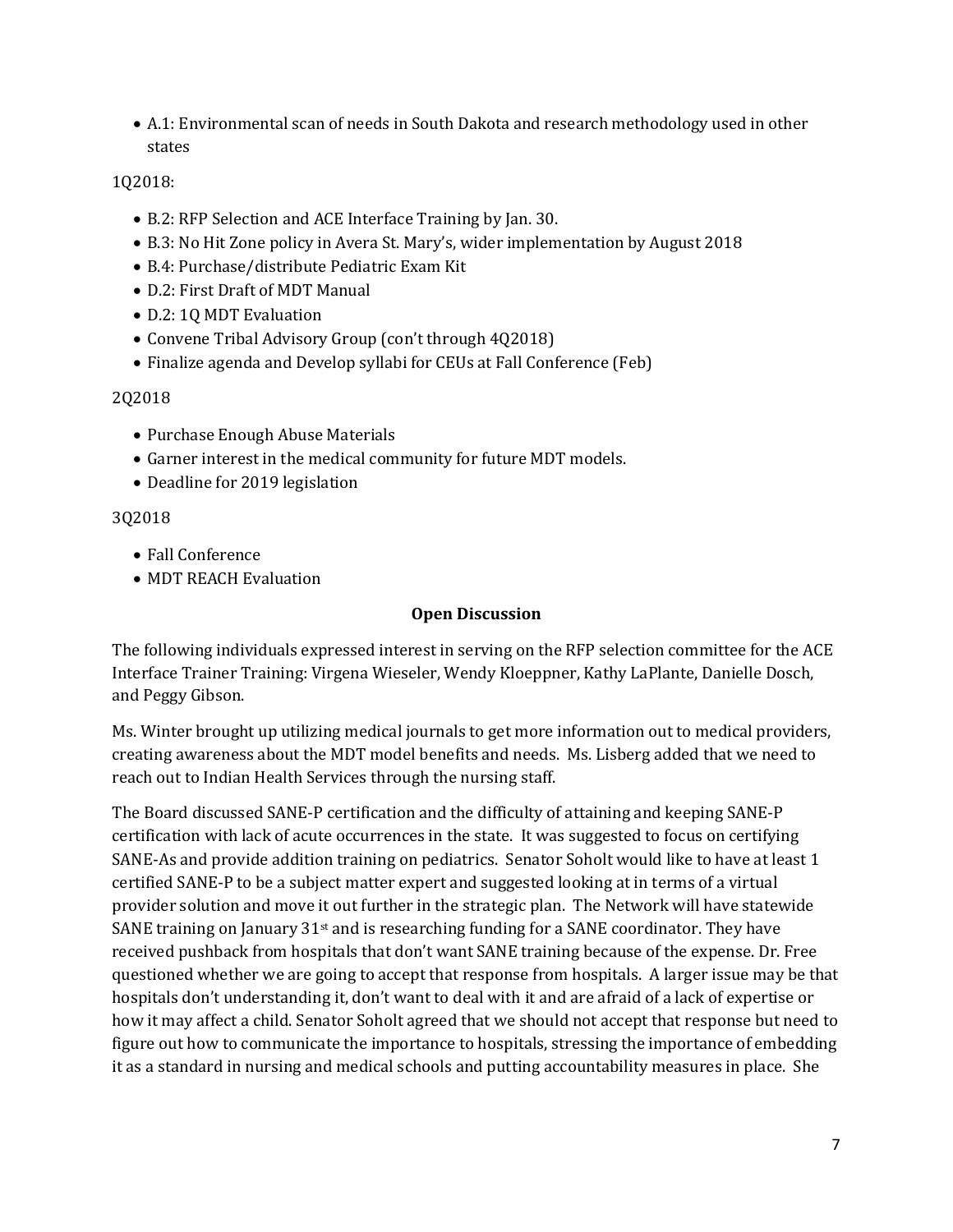• A.1: Environmental scan of needs in South Dakota and research methodology used in other states

# 1Q2018:

- B.2: RFP Selection and ACE Interface Training by Jan. 30.
- B.3: No Hit Zone policy in Avera St. Mary's, wider implementation by August 2018
- B.4: Purchase/distribute Pediatric Exam Kit
- D.2: First Draft of MDT Manual
- D.2: 1Q MDT Evaluation
- Convene Tribal Advisory Group (con't through 4Q2018)
- Finalize agenda and Develop syllabi for CEUs at Fall Conference (Feb)

## 2Q2018

- Purchase Enough Abuse Materials
- Garner interest in the medical community for future MDT models.
- Deadline for 2019 legislation

## 3Q2018

- Fall Conference
- MDT REACH Evaluation

#### **Open Discussion**

The following individuals expressed interest in serving on the RFP selection committee for the ACE Interface Trainer Training: Virgena Wieseler, Wendy Kloeppner, Kathy LaPlante, Danielle Dosch, and Peggy Gibson.

Ms. Winter brought up utilizing medical journals to get more information out to medical providers, creating awareness about the MDT model benefits and needs. Ms. Lisberg added that we need to reach out to Indian Health Services through the nursing staff.

The Board discussed SANE-P certification and the difficulty of attaining and keeping SANE-P certification with lack of acute occurrences in the state. It was suggested to focus on certifying SANE-As and provide addition training on pediatrics. Senator Soholt would like to have at least 1 certified SANE-P to be a subject matter expert and suggested looking at in terms of a virtual provider solution and move it out further in the strategic plan. The Network will have statewide SANE training on January  $31st$  and is researching funding for a SANE coordinator. They have received pushback from hospitals that don't want SANE training because of the expense. Dr. Free questioned whether we are going to accept that response from hospitals. A larger issue may be that hospitals don't understanding it, don't want to deal with it and are afraid of a lack of expertise or how it may affect a child. Senator Soholt agreed that we should not accept that response but need to figure out how to communicate the importance to hospitals, stressing the importance of embedding it as a standard in nursing and medical schools and putting accountability measures in place. She